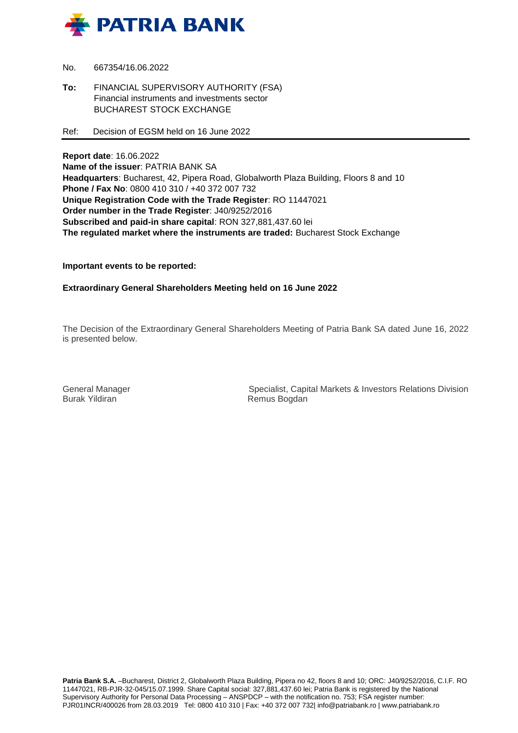

- No. 667354/16.06.2022
- **To:** FINANCIAL SUPERVISORY AUTHORITY (FSA) Financial instruments and investments sector BUCHAREST STOCK EXCHANGE
- Ref: Decision of EGSM held on 16 June 2022

**Report date**: 16.06.2022 **Name of the issuer**: PATRIA BANK SA **Headquarters**: Bucharest, 42, Pipera Road, Globalworth Plaza Building, Floors 8 and 10 **Phone / Fax No**: 0800 410 310 / +40 372 007 732 **Unique Registration Code with the Trade Register**: RO 11447021 **Order number in the Trade Register**: J40/9252/2016 **Subscribed and paid-in share capital**: RON 327,881,437.60 lei **The regulated market where the instruments are traded:** Bucharest Stock Exchange

**Important events to be reported:**

**Extraordinary General Shareholders Meeting held on 16 June 2022**

The Decision of the Extraordinary General Shareholders Meeting of Patria Bank SA dated June 16, 2022 is presented below.

Burak Yildiran **Remus Bogdan** 

General Manager Specialist, Capital Markets & Investors Relations Division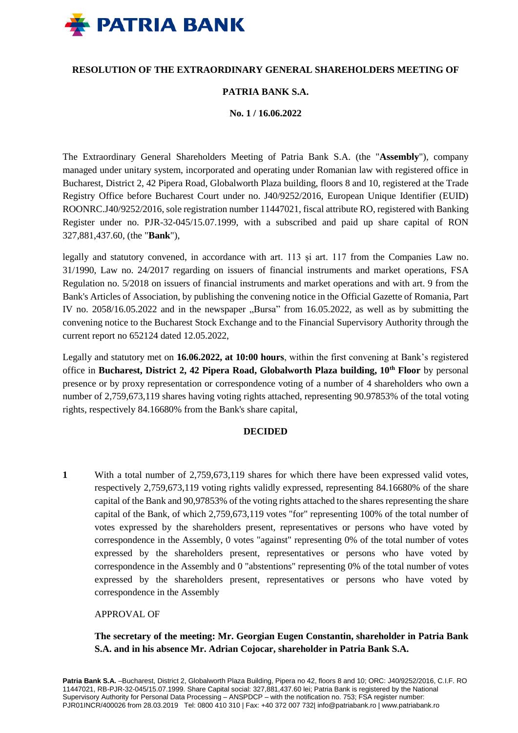

# **RESOLUTION OF THE EXTRAORDINARY GENERAL SHAREHOLDERS MEETING OF**

## **PATRIA BANK S.A.**

**No. 1 / 16.06.2022**

The Extraordinary General Shareholders Meeting of Patria Bank S.A. (the "**Assembly**"), company managed under unitary system, incorporated and operating under Romanian law with registered office in Bucharest, District 2, 42 Pipera Road, Globalworth Plaza building, floors 8 and 10, registered at the Trade Registry Office before Bucharest Court under no. J40/9252/2016, European Unique Identifier (EUID) ROONRC.J40/9252/2016, sole registration number 11447021, fiscal attribute RO, registered with Banking Register under no. PJR-32-045/15.07.1999, with a subscribed and paid up share capital of RON 327,881,437.60, (the "**Bank**"),

legally and statutory convened, in accordance with art. 113 și art. 117 from the Companies Law no. 31/1990, Law no. 24/2017 regarding on issuers of financial instruments and market operations, FSA Regulation no. 5/2018 on issuers of financial instruments and market operations and with art. 9 from the Bank's Articles of Association, by publishing the convening notice in the Official Gazette of Romania, Part IV no.  $2058/16.05.2022$  and in the newspaper  $n$ Bursa" from 16.05.2022, as well as by submitting the convening notice to the Bucharest Stock Exchange and to the Financial Supervisory Authority through the current report no 652124 dated 12.05.2022,

Legally and statutory met on **16.06.2022, at 10:00 hours**, within the first convening at Bank's registered office in **Bucharest, District 2, 42 Pipera Road, Globalworth Plaza building, 10th Floor** by personal presence or by proxy representation or correspondence voting of a number of 4 shareholders who own a number of 2,759,673,119 shares having voting rights attached, representing 90.97853% of the total voting rights, respectively 84.16680% from the Bank's share capital,

#### **DECIDED**

**1** With a total number of 2,759,673,119 shares for which there have been expressed valid votes, respectively 2,759,673,119 voting rights validly expressed, representing 84.16680% of the share capital of the Bank and 90,97853% of the voting rights attached to the shares representing the share capital of the Bank, of which 2,759,673,119 votes "for" representing 100% of the total number of votes expressed by the shareholders present, representatives or persons who have voted by correspondence in the Assembly, 0 votes "against" representing 0% of the total number of votes expressed by the shareholders present, representatives or persons who have voted by correspondence in the Assembly and 0 "abstentions" representing 0% of the total number of votes expressed by the shareholders present, representatives or persons who have voted by correspondence in the Assembly

## APPROVAL OF

**The secretary of the meeting: Mr. Georgian Eugen Constantin, shareholder in Patria Bank S.A. and in his absence Mr. Adrian Cojocar, shareholder in Patria Bank S.A.**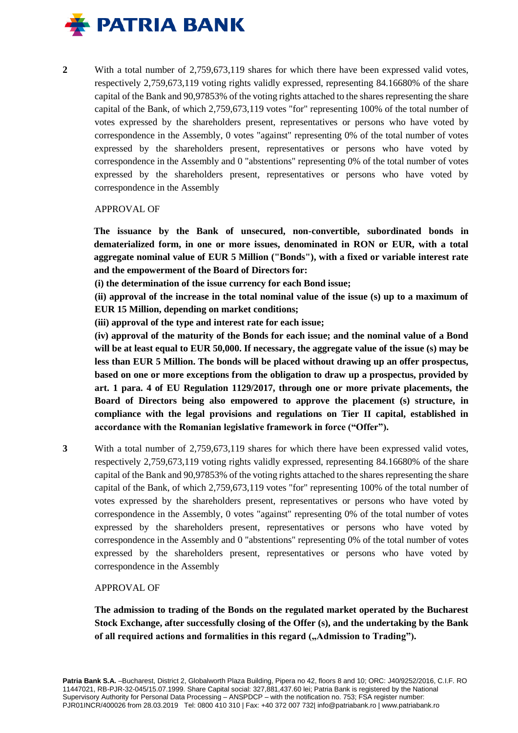

**2** With a total number of 2,759,673,119 shares for which there have been expressed valid votes, respectively 2,759,673,119 voting rights validly expressed, representing 84.16680% of the share capital of the Bank and 90,97853% of the voting rights attached to the shares representing the share capital of the Bank, of which 2,759,673,119 votes "for" representing 100% of the total number of votes expressed by the shareholders present, representatives or persons who have voted by correspondence in the Assembly, 0 votes "against" representing 0% of the total number of votes expressed by the shareholders present, representatives or persons who have voted by correspondence in the Assembly and 0 "abstentions" representing 0% of the total number of votes expressed by the shareholders present, representatives or persons who have voted by correspondence in the Assembly

#### APPROVAL OF

**The issuance by the Bank of unsecured, non-convertible, subordinated bonds in dematerialized form, in one or more issues, denominated in RON or EUR, with a total aggregate nominal value of EUR 5 Million ("Bonds"), with a fixed or variable interest rate and the empowerment of the Board of Directors for:**

**(i) the determination of the issue currency for each Bond issue;**

**(ii) approval of the increase in the total nominal value of the issue (s) up to a maximum of EUR 15 Million, depending on market conditions;**

**(iii) approval of the type and interest rate for each issue;**

**(iv) approval of the maturity of the Bonds for each issue; and the nominal value of a Bond will be at least equal to EUR 50,000. If necessary, the aggregate value of the issue (s) may be less than EUR 5 Million. The bonds will be placed without drawing up an offer prospectus, based on one or more exceptions from the obligation to draw up a prospectus, provided by art. 1 para. 4 of EU Regulation 1129/2017, through one or more private placements, the Board of Directors being also empowered to approve the placement (s) structure, in compliance with the legal provisions and regulations on Tier II capital, established in accordance with the Romanian legislative framework in force ("Offer").**

**3** With a total number of 2,759,673,119 shares for which there have been expressed valid votes, respectively 2,759,673,119 voting rights validly expressed, representing 84.16680% of the share capital of the Bank and 90,97853% of the voting rights attached to the shares representing the share capital of the Bank, of which 2,759,673,119 votes "for" representing 100% of the total number of votes expressed by the shareholders present, representatives or persons who have voted by correspondence in the Assembly, 0 votes "against" representing 0% of the total number of votes expressed by the shareholders present, representatives or persons who have voted by correspondence in the Assembly and 0 "abstentions" representing 0% of the total number of votes expressed by the shareholders present, representatives or persons who have voted by correspondence in the Assembly

APPROVAL OF

**The admission to trading of the Bonds on the regulated market operated by the Bucharest Stock Exchange, after successfully closing of the Offer (s), and the undertaking by the Bank**  of all required actions and formalities in this regard ("Admission to Trading").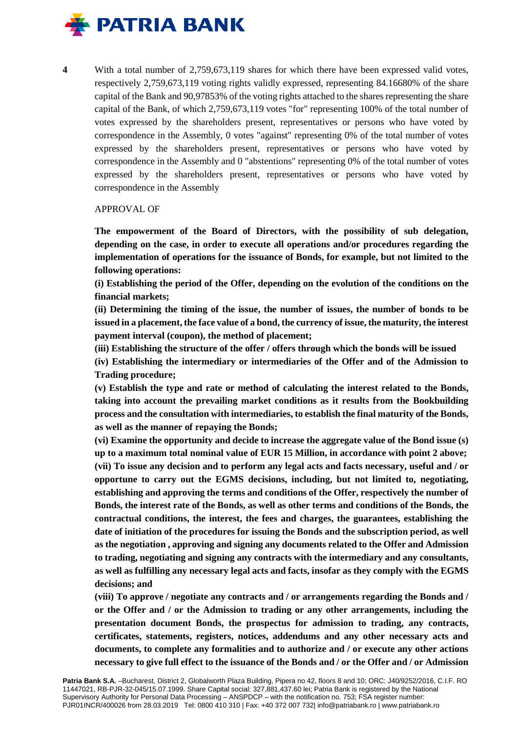

**4** With a total number of 2,759,673,119 shares for which there have been expressed valid votes, respectively 2,759,673,119 voting rights validly expressed, representing 84.16680% of the share capital of the Bank and 90,97853% of the voting rights attached to the shares representing the share capital of the Bank, of which 2,759,673,119 votes "for" representing 100% of the total number of votes expressed by the shareholders present, representatives or persons who have voted by correspondence in the Assembly, 0 votes "against" representing 0% of the total number of votes expressed by the shareholders present, representatives or persons who have voted by correspondence in the Assembly and 0 "abstentions" representing 0% of the total number of votes expressed by the shareholders present, representatives or persons who have voted by correspondence in the Assembly

## APPROVAL OF

**The empowerment of the Board of Directors, with the possibility of sub delegation, depending on the case, in order to execute all operations and/or procedures regarding the implementation of operations for the issuance of Bonds, for example, but not limited to the following operations:**

**(i) Establishing the period of the Offer, depending on the evolution of the conditions on the financial markets;**

**(ii) Determining the timing of the issue, the number of issues, the number of bonds to be issued in a placement, the face value of a bond, the currency of issue, the maturity, the interest payment interval (coupon), the method of placement;**

**(iii) Establishing the structure of the offer / offers through which the bonds will be issued**

**(iv) Establishing the intermediary or intermediaries of the Offer and of the Admission to Trading procedure;**

**(v) Establish the type and rate or method of calculating the interest related to the Bonds, taking into account the prevailing market conditions as it results from the Bookbuilding process and the consultation with intermediaries, to establish the final maturity of the Bonds, as well as the manner of repaying the Bonds;**

**(vi) Examine the opportunity and decide to increase the aggregate value of the Bond issue (s) up to a maximum total nominal value of EUR 15 Million, in accordance with point 2 above; (vii) To issue any decision and to perform any legal acts and facts necessary, useful and / or opportune to carry out the EGMS decisions, including, but not limited to, negotiating, establishing and approving the terms and conditions of the Offer, respectively the number of Bonds, the interest rate of the Bonds, as well as other terms and conditions of the Bonds, the contractual conditions, the interest, the fees and charges, the guarantees, establishing the date of initiation of the procedures for issuing the Bonds and the subscription period, as well as the negotiation , approving and signing any documents related to the Offer and Admission to trading, negotiating and signing any contracts with the intermediary and any consultants, as well as fulfilling any necessary legal acts and facts, insofar as they comply with the EGMS decisions; and**

**(viii) To approve / negotiate any contracts and / or arrangements regarding the Bonds and / or the Offer and / or the Admission to trading or any other arrangements, including the presentation document Bonds, the prospectus for admission to trading, any contracts, certificates, statements, registers, notices, addendums and any other necessary acts and documents, to complete any formalities and to authorize and / or execute any other actions necessary to give full effect to the issuance of the Bonds and / or the Offer and / or Admission**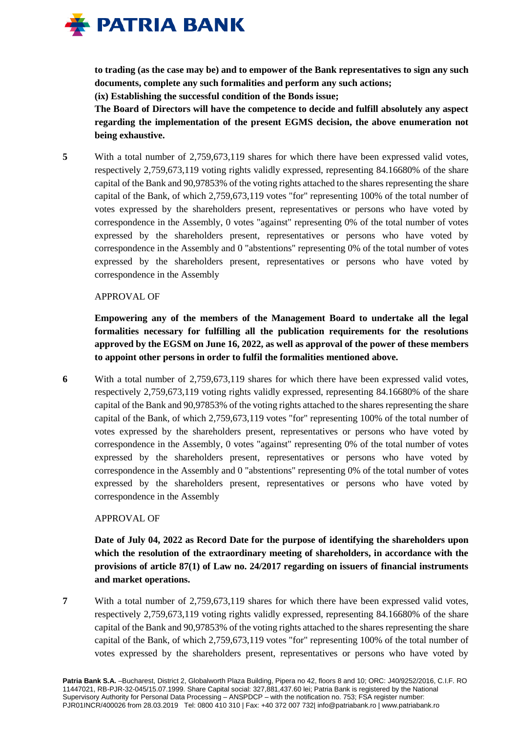

**to trading (as the case may be) and to empower of the Bank representatives to sign any such documents, complete any such formalities and perform any such actions;**

**(ix) Establishing the successful condition of the Bonds issue;**

**The Board of Directors will have the competence to decide and fulfill absolutely any aspect regarding the implementation of the present EGMS decision, the above enumeration not being exhaustive.**

**5** With a total number of 2,759,673,119 shares for which there have been expressed valid votes, respectively 2,759,673,119 voting rights validly expressed, representing 84.16680% of the share capital of the Bank and 90,97853% of the voting rights attached to the shares representing the share capital of the Bank, of which 2,759,673,119 votes "for" representing 100% of the total number of votes expressed by the shareholders present, representatives or persons who have voted by correspondence in the Assembly, 0 votes "against" representing 0% of the total number of votes expressed by the shareholders present, representatives or persons who have voted by correspondence in the Assembly and 0 "abstentions" representing 0% of the total number of votes expressed by the shareholders present, representatives or persons who have voted by correspondence in the Assembly

# APPROVAL OF

**Empowering any of the members of the Management Board to undertake all the legal formalities necessary for fulfilling all the publication requirements for the resolutions approved by the EGSM on June 16, 2022, as well as approval of the power of these members to appoint other persons in order to fulfil the formalities mentioned above.**

**6** With a total number of 2,759,673,119 shares for which there have been expressed valid votes, respectively 2,759,673,119 voting rights validly expressed, representing 84.16680% of the share capital of the Bank and 90,97853% of the voting rights attached to the shares representing the share capital of the Bank, of which 2,759,673,119 votes "for" representing 100% of the total number of votes expressed by the shareholders present, representatives or persons who have voted by correspondence in the Assembly, 0 votes "against" representing 0% of the total number of votes expressed by the shareholders present, representatives or persons who have voted by correspondence in the Assembly and 0 "abstentions" representing 0% of the total number of votes expressed by the shareholders present, representatives or persons who have voted by correspondence in the Assembly

# APPROVAL OF

**Date of July 04, 2022 as Record Date for the purpose of identifying the shareholders upon which the resolution of the extraordinary meeting of shareholders, in accordance with the provisions of article 87(1) of Law no. 24/2017 regarding on issuers of financial instruments and market operations.**

**7** With a total number of 2,759,673,119 shares for which there have been expressed valid votes, respectively 2,759,673,119 voting rights validly expressed, representing 84.16680% of the share capital of the Bank and 90,97853% of the voting rights attached to the shares representing the share capital of the Bank, of which 2,759,673,119 votes "for" representing 100% of the total number of votes expressed by the shareholders present, representatives or persons who have voted by